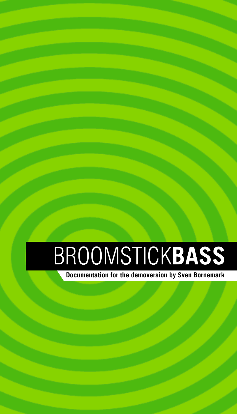# BROOMSTICKBASS

Documentation for the demoversion by Sven Bornemark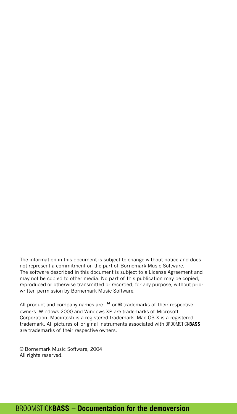The information in this document is subject to change without notice and does not represent a commitment on the part of Bornemark Music Software. The software described in this document is subject to a License Agreement and may not be copied to other media. No part of this publication may be copied, reproduced or otherwise transmitted or recorded, for any purpose, without prior written permission by Bornemark Music Software.

All product and company names are  $TM$  or  $\otimes$  trademarks of their respective owners. Windows 2000 and Windows XP are trademarks of Microsoft Corporation. Macintosh is a registered trademark. Mac OS X is a registered trademark. All pictures of original instruments associated with BROOMSTICKBASS are trademarks of their respective owners.

© Bornemark Music Software, 2004. All rights reserved.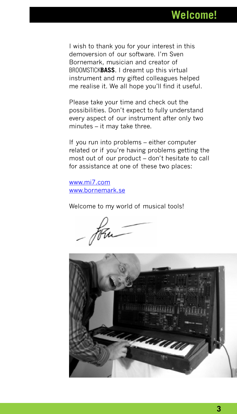I wish to thank you for your interest in this demoversion of our software. Iím Sven Bornemark, musician and creator of BROOMSTICKBASS. I dreamt up this virtual instrument and my gifted colleagues helped me realise it. We all hope you'll find it useful.

Please take your time and check out the possibilities. Don't expect to fully understand every aspect of our instrument after only two  $minutes - it$  may take three.

If you run into problems – either computer related or if you're having problems getting the most out of our product – don't hesitate to call for assistance at one of these two places:

[www.mi7.com](http://www.mi7.com/) [www.bornemark.se](http://www.bornemark.se/)

Welcome to my world of musical tools!

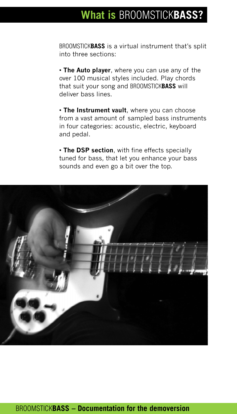# What is BROOMSTICKBASS?

BROOMSTICKBASS is a virtual instrument that's split into three sections:

• The Auto player, where you can use any of the over 100 musical styles included. Play chords that suit your song and BROOMSTICKBASS will deliver bass lines.

• The Instrument vault, where you can choose from a vast amount of sampled bass instruments in four categories: acoustic, electric, keyboard and pedal.

• The DSP section, with fine effects specially tuned for bass, that let you enhance your bass sounds and even go a bit over the top.



### BROOMSTICK**BASS - Documentation for the demoversion**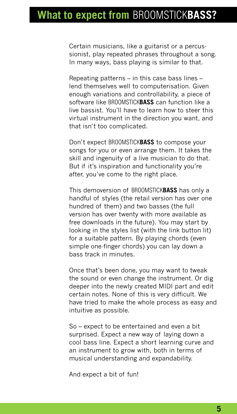Certain musicians, like a guitarist or a percussionist, play repeated phrases throughout a song. In many ways, bass playing is similar to that.

Repeating patterns  $-$  in this case bass lines  $$ lend themselves well to computerisation. Given enough variations and controllability, a piece of software like BROOMSTICKBASS can function like a live bassist. You'll have to learn how to steer this virtual instrument in the direction you want, and that isn't too complicated.

Don't expect BROOMSTICKBASS to compose your songs for you or even arrange them. It takes the skill and ingenuity of a live musician to do that. But if it's inspiration and functionality you're after, you've come to the right place.

This demoversion of BROOMSTICKBASS has only a handful of styles (the retail version has over one hundred of them) and two basses (the full version has over twenty with more available as free downloads in the future). You may start by looking in the styles list (with the link button lit) for a suitable pattern. By playing chords (even simple one-finger chords) you can lay down a bass track in minutes.

Once that's been done, you may want to tweak the sound or even change the instrument. Or dig deeper into the newly created MIDI part and edit certain notes. None of this is very difficult. We have tried to make the whole process as easy and intuitive as possible.

So – expect to be entertained and even a bit surprised. Expect a new way of laying down a cool bass line. Expect a short learning curve and an instrument to grow with, both in terms of musical understanding and expandability.

And expect a bit of fun!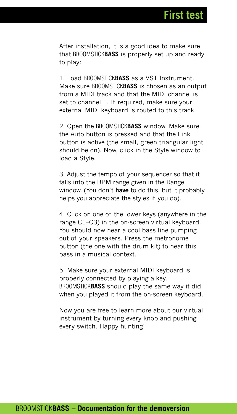After installation, it is a good idea to make sure that BROOMSTICKBASS is properly set up and ready to play:

1. Load BROOMSTICKBASS as a VST Instrument. Make sure BROOMSTICK**BASS** is chosen as an output from a MIDI track and that the MIDI channel is set to channel 1. If required, make sure your external MIDI keyboard is routed to this track.

2. Open the BROOMSTICKBASS window. Make sure the Auto button is pressed and that the Link button is active (the small, green triangular light should be on). Now, click in the Style window to load a Style.

3. Adjust the tempo of your sequencer so that it falls into the BPM range given in the Range window. (You don't have to do this, but it probably helps you appreciate the styles if you do).

4. Click on one of the lower keys (anywhere in the range  $C1-C3$ ) in the on-screen virtual keyboard. You should now hear a cool bass line pumping out of your speakers. Press the metronome button (the one with the drum kit) to hear this bass in a musical context.

5. Make sure your external MIDI keyboard is properly connected by playing a key. BROOMSTICKBASS should play the same way it did when you played it from the on-screen keyboard.

Now you are free to learn more about our virtual instrument by turning every knob and pushing every switch. Happy hunting!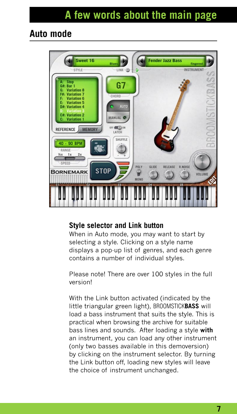### A few words about the main page

### Auto mode



#### Style selector and Link button

When in Auto mode, you may want to start by selecting a style. Clicking on a style name displays a pop-up list of genres, and each genre contains a number of individual styles.

Please note! There are over 100 styles in the full version!

With the Link button activated (indicated by the little triangular green light), BROOMSTICKBASS will load a bass instrument that suits the style. This is practical when browsing the archive for suitable bass lines and sounds. After loading a style with an instrument, you can load any other instrument (only two basses available in this demoversion) by clicking on the instrument selector. By turning the Link button off, loading new styles will leave the choice of instrument unchanged.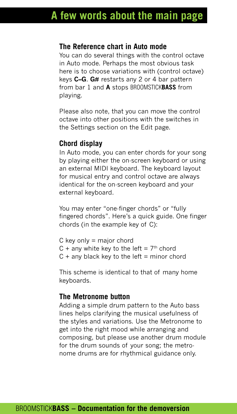#### The Reference chart in Auto mode

You can do several things with the control octave in Auto mode. Perhaps the most obvious task here is to choose variations with (control octave) keys  $C-G$ .  $G#$  restarts any 2 or 4 bar pattern from bar 1 and A stops BROOMSTICKBASS from playing.

Please also note, that you can move the control octave into other positions with the switches in the Settings section on the Edit page.

### Chord display

In Auto mode, you can enter chords for your song by playing either the on-screen keyboard or using an external MIDI keyboard. The keyboard layout for musical entry and control octave are always identical for the on-screen keyboard and your external keyboard.

You may enter "one-finger chords" or "fully fingered chords". Here's a quick guide. One finger chords (in the example key of C):

- $C$  key only = major chord
- C + any white key to the left =  $7<sup>th</sup>$  chord
- $C +$  any black key to the left = minor chord

This scheme is identical to that of many home keyboards.

#### The Metronome button

Adding a simple drum pattern to the Auto bass lines helps clarifying the musical usefulness of the styles and variations. Use the Metronome to get into the right mood while arranging and composing, but please use another drum module for the drum sounds of your song; the metronome drums are for rhythmical guidance only.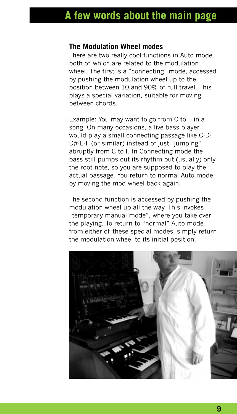### A few words about the main page

#### The Modulation Wheel modes

There are two really cool functions in Auto mode, both of which are related to the modulation wheel. The first is a "connecting" mode, accessed by pushing the modulation wheel up to the position between 10 and 90% of full travel. This plays a special variation, suitable for moving between chords.

Example: You may want to go from C to F in a song. On many occasions, a live bass player would play a small connecting passage like C-D- $D#E-F$  (or similar) instead of just "jumping" abruptly from C to F. In Connecting mode the bass still pumps out its rhythm but (usually) only the root note, so you are supposed to play the actual passage. You return to normal Auto mode by moving the mod wheel back again.

The second function is accessed by pushing the modulation wheel up all the way. This invokes "temporary manual mode", where you take over the playing. To return to "normal" Auto mode from either of these special modes, simply return the modulation wheel to its initial position.

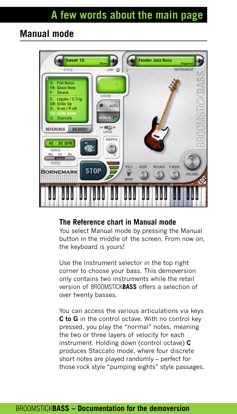### Manual mode



#### The Reference chart in Manual mode

You select Manual mode by pressing the Manual button in the middle of the screen. From now on, the keyboard is yours!

Use the Instrument selector in the top right corner to choose your bass. This demoversion only contains two instruments while the retail version of BROOMSTICKBASS offers a selection of over twenty basses.

You can access the various articulations via keys C to G in the control octave. With no control key pressed, you play the "normal" notes, meaning the two or three layers of velocity for each instrument. Holding down (control octave) C produces Staccato mode, where four discrete short notes are played randomly - perfect for those rock style "pumping eights" style passages.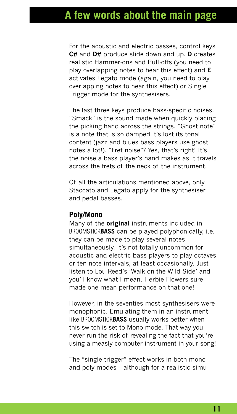### A few words about the main page

For the acoustic and electric basses, control keys C# and D# produce slide down and up. D creates realistic Hammer-ons and Pull-offs (you need to play overlapping notes to hear this effect) and **E** activates Legato mode (again, you need to play overlapping notes to hear this effect) or Single Trigger mode for the synthesisers.

The last three keys produce bass-specific noises. "Smack" is the sound made when quickly placing the picking hand across the strings. "Ghost note" is a note that is so damped it's lost its tonal content (jazz and blues bass players use ghost notes a lot!). "Fret noise"? Yes, that's right! It's the noise a bass player's hand makes as it travels across the frets of the neck of the instrument.

Of all the articulations mentioned above, only Staccato and Legato apply for the synthesiser and pedal basses.

#### Poly/Mono

Many of the **original** instruments included in BROOMSTICKBASS can be played polyphonically, i.e. they can be made to play several notes simultaneously. It's not totally uncommon for acoustic and electric bass players to play octaves or ten note intervals, at least occasionally. Just listen to Lou Reed's 'Walk on the Wild Side' and youíll know what I mean. Herbie Flowers sure made one mean performance on that one!

However, in the seventies most synthesisers were monophonic. Emulating them in an instrument like BROOMSTICKBASS usually works better when this switch is set to Mono mode. That way you never run the risk of revealing the fact that you're using a measly computer instrument in your song!

The "single trigger" effect works in both mono and poly modes  $-$  although for a realistic simu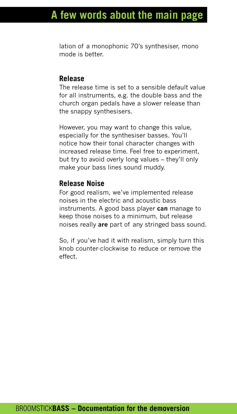lation of a monophonic 70's synthesiser, mono mode is better.

#### Release

The release time is set to a sensible default value for all instruments, e.g. the double bass and the church organ pedals have a slower release than the snappy synthesisers.

However, you may want to change this value, especially for the synthesiser basses. You'll notice how their tonal character changes with increased release time. Feel free to experiment, but try to avoid overly long values – they'll only make your bass lines sound muddy.

### Release Noise

For good realism, we've implemented release noises in the electric and acoustic bass instruments. A good bass player can manage to keep those noises to a minimum, but release noises really are part of any stringed bass sound.

So, if you've had it with realism, simply turn this knob counter-clockwise to reduce or remove the effect.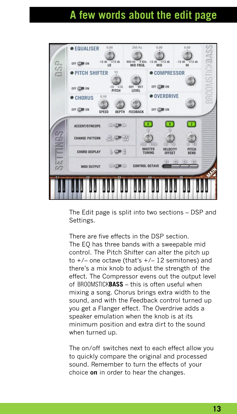# A few words about the edit page



The Edit page is split into two sections – DSP and Settings.

There are five effects in the DSP section. The EQ has three bands with a sweepable mid control. The Pitch Shifter can alter the pitch up to  $+/-$  one octave (that's  $+/-$  12 semitones) and there's a mix knob to adjust the strength of the effect. The Compressor evens out the output level of BROOMSTICKBASS - this is often useful when mixing a song. Chorus brings extra width to the sound, and with the Feedback control turned up you get a Flanger effect. The Overdrive adds a speaker emulation when the knob is at its minimum position and extra dirt to the sound when turned up.

The on/off switches next to each effect allow you to quickly compare the original and processed sound. Remember to turn the effects of your choice on in order to hear the changes.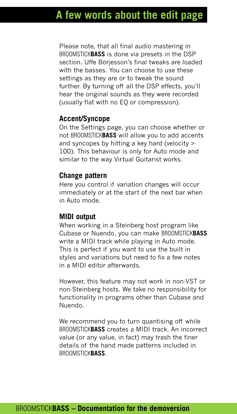Please note, that all final audio mastering in BROOMSTICKBASS is done via presets in the DSP section. Uffe Böriesson's final tweaks are loaded with the basses. You can choose to use these settings as they are or to tweak the sound further. By turning off all the DSP effects, you'll hear the original sounds as they were recorded (usually flat with no EQ or compression).

### Accent/Syncope

On the Settings page, you can choose whether or not BROOMSTICKBASS will allow you to add accents and syncopes by hitting a key hard (velocity > 100). This behaviour is only for Auto mode and similar to the way Virtual Guitarist works.

### Change pattern

Here you control if variation changes will occur immediately or at the start of the next bar when in Auto mode.

#### MIDI output

When working in a Steinberg host program like Cubase or Nuendo, you can make BROOMSTICKBASS write a MIDI track while playing in Auto mode. This is perfect if you want to use the built in styles and variations but need to fix a few notes in a MIDI editor afterwards.

However, this feature may not work in non-VST or non-Steinberg hosts. We take no responsibility for functionality in programs other than Cubase and Nuendo.

We recommend you to turn quantising off while BROOMSTICKBASS creates a MIDI track. An incorrect value (or any value, in fact) may trash the finer details of the hand made patterns included in BROOMSTICKBASS.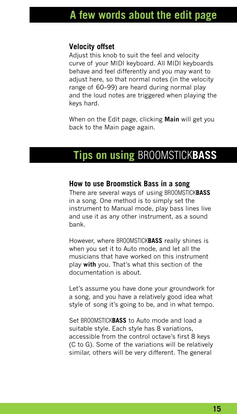### A few words about the edit page

### Velocity offset

Adjust this knob to suit the feel and velocity curve of your MIDI keyboard. All MIDI keyboards behave and feel differently and you may want to adjust here, so that normal notes (in the velocity range of 60–99) are heard during normal play and the loud notes are triggered when playing the keys hard.

When on the Edit page, clicking **Main** will get you back to the Main page again.

### Tips on using BROOMSTICKBASS

### How to use Broomstick Bass in a song

There are several ways of using BROOMSTICKBASS in a song. One method is to simply set the instrument to Manual mode, play bass lines live and use it as any other instrument, as a sound bank.

However, where BROOMSTICKBASS really shines is when you set it to Auto mode, and let all the musicians that have worked on this instrument play with you. That's what this section of the documentation is about.

Let's assume you have done your groundwork for a song, and you have a relatively good idea what style of song it's going to be, and in what tempo.

Set BROOMSTICK**BASS** to Auto mode and load a suitable style. Each style has 8 variations, accessible from the control octave's first 8 keys (C to G). Some of the variations will be relatively similar, others will be very different. The general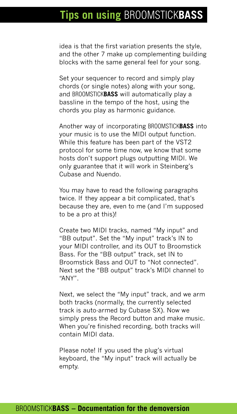## **Tips on using BROOMSTICKBASS**

idea is that the first variation presents the style, and the other 7 make up complementing building blocks with the same general feel for your song.

Set your sequencer to record and simply play chords (or single notes) along with your song, and BROOMSTICK**BASS** will automatically play a bassline in the tempo of the host, using the chords you play as harmonic guidance.

Another way of incorporating BROOMSTICKBASS into your music is to use the MIDI output function. While this feature has been part of the VST2 protocol for some time now, we know that some hosts donít support plugs outputting MIDI. We only guarantee that it will work in Steinberg's Cubase and Nuendo.

You may have to read the following paragraphs twice. If they appear a bit complicated, that's because they are, even to me (and Iím supposed to be a pro at this)!

Create two MIDI tracks, named "My input" and "BB output". Set the "My input" track's IN to your MIDI controller, and its OUT to Broomstick Bass. For the "BB output" track, set IN to Broomstick Bass and OUT to "Not connected" Next set the "BB output" track's MIDI channel to "ANY".

Next, we select the "My input" track, and we arm both tracks (normally, the currently selected track is auto-armed by Cubase SX). Now we simply press the Record button and make music. When you're finished recording, both tracks will contain MIDI data.

Please note! If you used the plug's virtual keyboard, the "My input" track will actually be empty.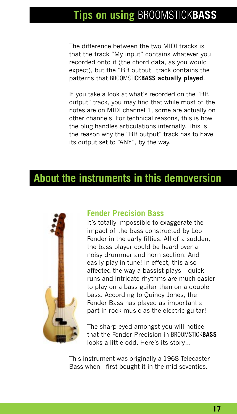# Tips on using BROOMSTICKBASS

The difference between the two MIDI tracks is that the track "My input" contains whatever you recorded onto it (the chord data, as you would expect), but the "BB output" track contains the patterns that BROOMSTICKBASS actually played.

If you take a look at what's recorded on the "BB output" track, you may find that while most of the notes are on MIDI channel 1, some are actually on other channels! For technical reasons, this is how the plug handles articulations internally. This is the reason why the "BB output" track has to have its output set to "ANY", by the way.

### About the instruments in this demoversion



### Fender Precision Bass

It's totally impossible to exaggerate the impact of the bass constructed by Leo Fender in the early fifties. All of a sudden, the bass player could be heard over a noisy drummer and horn section. And easily play in tune! In effect, this also affected the way a bassist plays  $-$  quick runs and intricate rhythms are much easier to play on a bass guitar than on a double bass. According to Quincy Jones, the Fender Bass has played as important a part in rock music as the electric guitar!

The sharp-eyed amongst you will notice that the Fender Precision in BROOMSTICKBASS looks a little odd. Here's its story...

This instrument was originally a 1968 Telecaster Bass when I first bought it in the mid-seventies.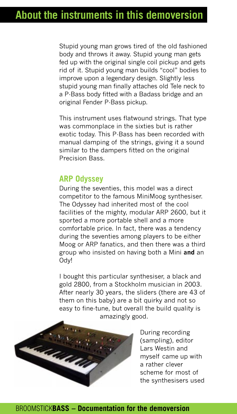Stupid young man grows tired of the old fashioned body and throws it away. Stupid young man gets fed up with the original single coil pickup and gets rid of it. Stupid young man builds "cool" bodies to improve upon a legendary design. Slightly less stupid young man finally attaches old Tele neck to a P-Bass body fitted with a Badass bridge and an original Fender P-Bass pickup.

This instrument uses flatwound strings. That type was commonplace in the sixties but is rather exotic today. This P-Bass has been recorded with manual damping of the strings, giving it a sound similar to the dampers fitted on the original Precision Bass.

### ARP Odyssey

During the seventies, this model was a direct competitor to the famous MiniMoog synthesiser. The Odyssey had inherited most of the cool facilities of the mighty, modular ARP 2600, but it sported a more portable shell and a more comfortable price. In fact, there was a tendency during the seventies among players to be either Moog or ARP fanatics, and then there was a third group who insisted on having both a Mini and an Ody!

I bought this particular synthesiser, a black and gold 2800, from a Stockholm musician in 2003. After nearly 30 years, the sliders (there are 43 of them on this baby) are a bit quirky and not so easy to fine-tune, but overall the build quality is amazingly good.



During recording (sampling), editor Lars Westin and myself came up with a rather clever scheme for most of the synthesisers used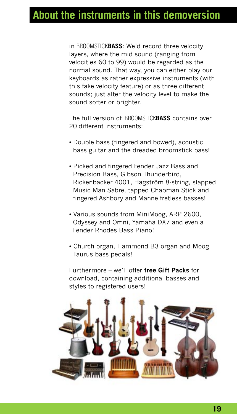in BROOMSTICKBASS: We'd record three velocity layers, where the mid sound (ranging from velocities 60 to 99) would be regarded as the normal sound. That way, you can either play our keyboards as rather expressive instruments (with this fake velocity feature) or as three different sounds; just alter the velocity level to make the sound softer or brighter.

The full version of BROOMSTICKBASS contains over 20 different instruments:

- Double bass (fingered and bowed), acoustic bass guitar and the dreaded broomstick bass!
- Picked and fingered Fender Jazz Bass and Precision Bass, Gibson Thunderbird, Rickenbacker 4001, Hagström 8-string, slapped Music Man Sabre, tapped Chapman Stick and fingered Ashbory and Manne fretless basses!
- Various sounds from MiniMoog, ARP 2600, Odyssey and Omni, Yamaha DX7 and even a Fender Rhodes Bass Piano!
- Church organ, Hammond B3 organ and Moog Taurus bass pedals!

Furthermore – we'll offer free Gift Packs for download, containing additional basses and styles to registered users!

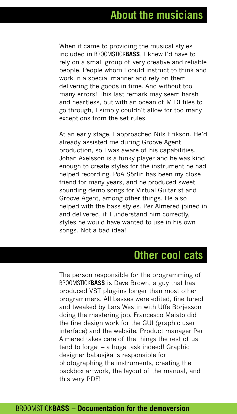When it came to providing the musical styles included in BROOMSTICKBASS, I knew Iíd have to rely on a small group of very creative and reliable people. People whom I could instruct to think and work in a special manner and rely on them delivering the goods in time. And without too many errors! This last remark may seem harsh and heartless, but with an ocean of MIDI files to go through, I simply couldnít allow for too many exceptions from the set rules.

At an early stage, I approached Nils Erikson. Heíd already assisted me during Groove Agent production, so I was aware of his capabilities. Johan Axelsson is a funky player and he was kind enough to create styles for the instrument he had helped recording. PoA Sörlin has been my close friend for many years, and he produced sweet sounding demo songs for Virtual Guitarist and Groove Agent, among other things. He also helped with the bass styles. Per Almered joined in and delivered, if I understand him correctly, styles he would have wanted to use in his own songs. Not a bad idea!

### Other cool cats

The person responsible for the programming of BROOMSTICKBASS is Dave Brown, a guy that has produced VST plug-ins longer than most other programmers. All basses were edited, fine tuned and tweaked by Lars Westin with Uffe Börjesson doing the mastering job. Francesco Maisto did the fine design work for the GUI (graphic user interface) and the website. Product manager Per Almered takes care of the things the rest of us tend to forget – a huge task indeed! Graphic designer babusjka is responsible for photographing the instruments, creating the packbox artwork, the layout of the manual, and this very PDF!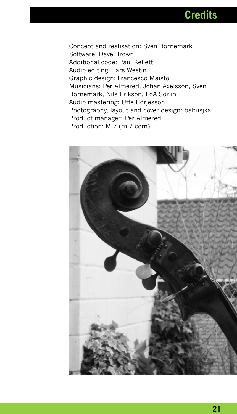**Credits** 

Concept and realisation: Sven Bornemark Software: Dave Brown Additional code: Paul Kellett Audio editing: Lars Westin Graphic design: Francesco Maisto Musicians: Per Almered, Johan Axelsson, Sven Bornemark, Nils Erikson, PoA Sörlin Audio mastering: Uffe Börjesson Photography, layout and cover design: babusjka Product manager: Per Almered Production: MI7 (mi7.com)